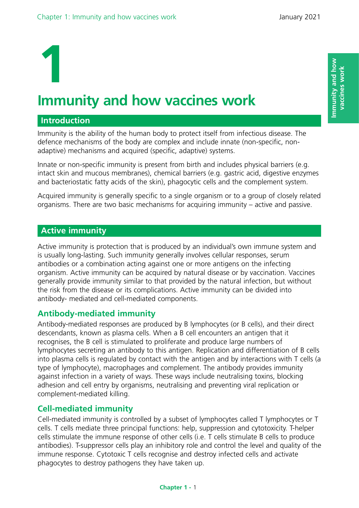# **1 Immunity and how vaccines work**

## **Introduction**

Immunity is the ability of the human body to protect itself from infectious disease. The defence mechanisms of the body are complex and include innate (non-specific, nonadaptive) mechanisms and acquired (specific, adaptive) systems.

Innate or non-specific immunity is present from birth and includes physical barriers (e.g. intact skin and mucous membranes), chemical barriers (e.g. gastric acid, digestive enzymes and bacteriostatic fatty acids of the skin), phagocytic cells and the complement system.

Acquired immunity is generally specific to a single organism or to a group of closely related organisms. There are two basic mechanisms for acquiring immunity – active and passive.

## **Active immunity**

Active immunity is protection that is produced by an individual's own immune system and is usually long-lasting. Such immunity generally involves cellular responses, serum antibodies or a combination acting against one or more antigens on the infecting organism. Active immunity can be acquired by natural disease or by vaccination. Vaccines generally provide immunity similar to that provided by the natural infection, but without the risk from the disease or its complications. Active immunity can be divided into antibody- mediated and cell-mediated components.

## **Antibody-mediated immunity**

Antibody-mediated responses are produced by B lymphocytes (or B cells), and their direct descendants, known as plasma cells. When a B cell encounters an antigen that it recognises, the B cell is stimulated to proliferate and produce large numbers of lymphocytes secreting an antibody to this antigen. Replication and differentiation of B cells into plasma cells is regulated by contact with the antigen and by interactions with T cells (a type of lymphocyte), macrophages and complement. The antibody provides immunity against infection in a variety of ways. These ways include neutralising toxins, blocking adhesion and cell entry by organisms, neutralising and preventing viral replication or complement-mediated killing.

## **Cell-mediated immunity**

Cell-mediated immunity is controlled by a subset of lymphocytes called T lymphocytes or T cells. T cells mediate three principal functions: help, suppression and cytotoxicity. T-helper cells stimulate the immune response of other cells (i.e. T cells stimulate B cells to produce antibodies). T-suppressor cells play an inhibitory role and control the level and quality of the immune response. Cytotoxic T cells recognise and destroy infected cells and activate phagocytes to destroy pathogens they have taken up.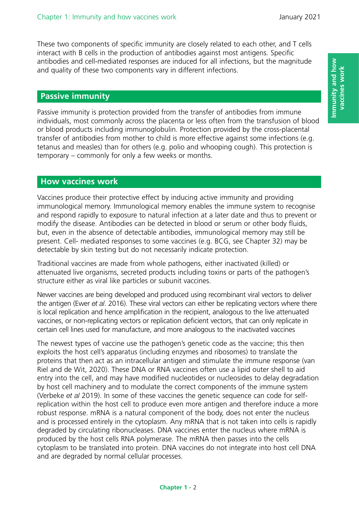These two components of specific immunity are closely related to each other, and T cells interact with B cells in the production of antibodies against most antigens. Specific antibodies and cell-mediated responses are induced for all infections, but the magnitude and quality of these two components vary in different infections.

## **Passive immunity**

Passive immunity is protection provided from the transfer of antibodies from immune individuals, most commonly across the placenta or less often from the transfusion of blood or blood products including immunoglobulin. Protection provided by the cross-placental transfer of antibodies from mother to child is more effective against some infections (e.g. tetanus and measles) than for others (e.g. polio and whooping cough). This protection is temporary – commonly for only a few weeks or months.

## **How vaccines work**

Vaccines produce their protective effect by inducing active immunity and providing immunological memory. Immunological memory enables the immune system to recognise and respond rapidly to exposure to natural infection at a later date and thus to prevent or modify the disease. Antibodies can be detected in blood or serum or other body fluids, but, even in the absence of detectable antibodies, immunological memory may still be present. Cell- mediated responses to some vaccines (e.g. BCG, see Chapter 32) may be detectable by skin testing but do not necessarily indicate protection.

Traditional vaccines are made from whole pathogens, either inactivated (killed) or attenuated live organisms, secreted products including toxins or parts of the pathogen's structure either as viral like particles or subunit vaccines.

Newer vaccines are being developed and produced using recombinant viral vectors to deliver the antigen (Ewer *et al*. 2016). These viral vectors can either be replicating vectors where there is local replication and hence amplification in the recipient, analogous to the live attenuated vaccines, or non-replicating vectors or replication deficient vectors, that can only replicate in certain cell lines used for manufacture, and more analogous to the inactivated vaccines

The newest types of vaccine use the pathogen's genetic code as the vaccine; this then exploits the host cell's apparatus (including enzymes and ribosomes) to translate the proteins that then act as an intracellular antigen and stimulate the immune response (van Riel and de Wit, 2020). These DNA or RNA vaccines often use a lipid outer shell to aid entry into the cell, and may have modified nucleotides or nucleosides to delay degradation by host cell machinery and to modulate the correct components of the immune system (Verbeke *et al* 2019). In some of these vaccines the genetic sequence can code for selfreplication within the host cell to produce even more antigen and therefore induce a more robust response. mRNA is a natural component of the body, does not enter the nucleus and is processed entirely in the cytoplasm. Any mRNA that is not taken into cells is rapidly degraded by circulating ribonucleases. DNA vaccines enter the nucleus where mRNA is produced by the host cells RNA polymerase. The mRNA then passes into the cells cytoplasm to be translated into protein. DNA vaccines do not integrate into host cell DNA and are degraded by normal cellular processes.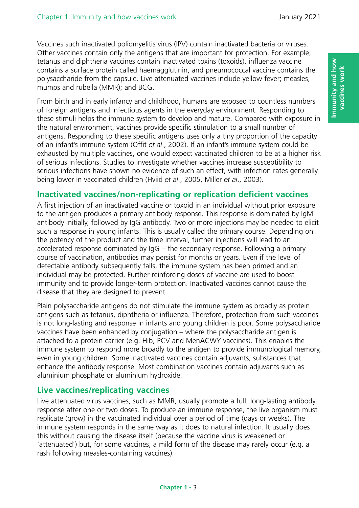Vaccines such inactivated poliomyelitis virus (IPV) contain inactivated bacteria or viruses. Other vaccines contain only the antigens that are important for protection. For example, tetanus and diphtheria vaccines contain inactivated toxins (toxoids), influenza vaccine contains a surface protein called haemagglutinin, and pneumococcal vaccine contains the polysaccharide from the capsule. Live attenuated vaccines include yellow fever; measles, mumps and rubella (MMR); and BCG.

From birth and in early infancy and childhood, humans are exposed to countless numbers of foreign antigens and infectious agents in the everyday environment. Responding to these stimuli helps the immune system to develop and mature. Compared with exposure in the natural environment, vaccines provide specific stimulation to a small number of antigens. Responding to these specific antigens uses only a tiny proportion of the capacity of an infant's immune system (Offit *et al*., 2002). If an infant's immune system could be exhausted by multiple vaccines, one would expect vaccinated children to be at a higher risk of serious infections. Studies to investigate whether vaccines increase susceptibility to serious infections have shown no evidence of such an effect, with infection rates generally being lower in vaccinated children (Hviid *et al*., 2005, Miller *et al*., 2003).

## **Inactivated vaccines/non-replicating or replication deficient vaccines**

A first injection of an inactivated vaccine or toxoid in an individual without prior exposure to the antigen produces a primary antibody response. This response is dominated by IgM antibody initially, followed by IgG antibody. Two or more injections may be needed to elicit such a response in young infants. This is usually called the primary course. Depending on the potency of the product and the time interval, further injections will lead to an accelerated response dominated by IgG – the secondary response. Following a primary course of vaccination, antibodies may persist for months or years. Even if the level of detectable antibody subsequently falls, the immune system has been primed and an individual may be protected. Further reinforcing doses of vaccine are used to boost immunity and to provide longer-term protection. Inactivated vaccines cannot cause the disease that they are designed to prevent.

Plain polysaccharide antigens do not stimulate the immune system as broadly as protein antigens such as tetanus, diphtheria or influenza. Therefore, protection from such vaccines is not long-lasting and response in infants and young children is poor. Some polysaccharide vaccines have been enhanced by conjugation – where the polysaccharide antigen is attached to a protein carrier (e.g. Hib, PCV and MenACWY vaccines). This enables the immune system to respond more broadly to the antigen to provide immunological memory, even in young children. Some inactivated vaccines contain adjuvants, substances that enhance the antibody response. Most combination vaccines contain adjuvants such as aluminium phosphate or aluminium hydroxide.

#### **Live vaccines/replicating vaccines**

Live attenuated virus vaccines, such as MMR, usually promote a full, long-lasting antibody response after one or two doses. To produce an immune response, the live organism must replicate (grow) in the vaccinated individual over a period of time (days or weeks). The immune system responds in the same way as it does to natural infection. It usually does this without causing the disease itself (because the vaccine virus is weakened or 'attenuated') but, for some vaccines, a mild form of the disease may rarely occur (e.g. a rash following measles-containing vaccines).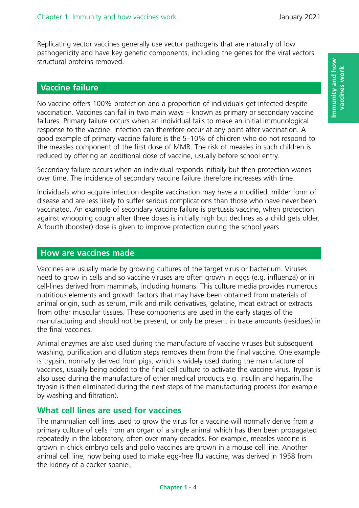Replicating vector vaccines generally use vector pathogens that are naturally of low pathogenicity and have key genetic components, including the genes for the viral vectors structural proteins removed.

# **Vaccine failure**

No vaccine offers 100% protection and a proportion of individuals get infected despite vaccination. Vaccines can fail in two main ways – known as primary or secondary vaccine failures. Primary failure occurs when an individual fails to make an initial immunological response to the vaccine. Infection can therefore occur at any point after vaccination. A good example of primary vaccine failure is the 5–10% of children who do not respond to the measles component of the first dose of MMR. The risk of measles in such children is reduced by offering an additional dose of vaccine, usually before school entry.

Secondary failure occurs when an individual responds initially but then protection wanes over time. The incidence of secondary vaccine failure therefore increases with time.

Individuals who acquire infection despite vaccination may have a modified, milder form of disease and are less likely to suffer serious complications than those who have never been vaccinated. An example of secondary vaccine failure is pertussis vaccine, when protection against whooping cough after three doses is initially high but declines as a child gets older. A fourth (booster) dose is given to improve protection during the school years.

#### **How are vaccines made**

Vaccines are usually made by growing cultures of the target virus or bacterium. Viruses need to grow in cells and so vaccine viruses are often grown in eggs (e.g. influenza) or in cell-lines derived from mammals, including humans. This culture media provides numerous nutritious elements and growth factors that may have been obtained from materials of animal origin, such as serum, milk and milk derivatives, gelatine, meat extract or extracts from other muscular tissues. These components are used in the early stages of the manufacturing and should not be present, or only be present in trace amounts (residues) in the final vaccines.

Animal enzymes are also used during the manufacture of vaccine viruses but subsequent washing, purification and dilution steps removes them from the final vaccine. One example is trypsin, normally derived from pigs, which is widely used during the manufacture of vaccines, usually being added to the final cell culture to activate the vaccine virus. Trypsin is also used during the manufacture of other medical products e.g. insulin and heparin.The trypsin is then eliminated during the next steps of the manufacturing process (for example by washing and filtration).

## **What cell lines are used for vaccines**

The mammalian cell lines used to grow the virus for a vaccine will normally derive from a primary culture of cells from an organ of a single animal which has then been propagated repeatedly in the laboratory, often over many decades. For example, measles vaccine is grown in chick embryo cells and polio vaccines are grown in a mouse cell line. Another animal cell line, now being used to make egg-free flu vaccine, was derived in 1958 from the kidney of a cocker spaniel.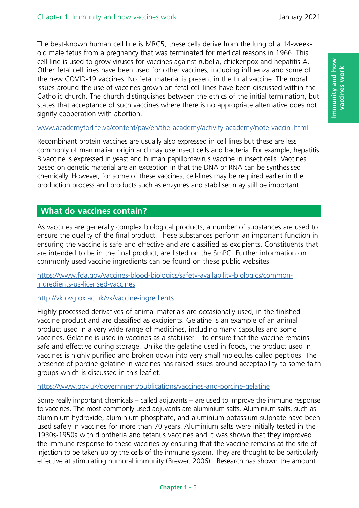The best-known human cell line is MRC5; these cells derive from the lung of a 14-weekold male fetus from a pregnancy that was terminated for medical reasons in 1966. This cell-line is used to grow viruses for vaccines against rubella, chickenpox and hepatitis A. Other fetal cell lines have been used for other vaccines, including influenza and some of the new COVID-19 vaccines. No fetal material is present in the final vaccine. The moral issues around the use of vaccines grown on fetal cell lines have been discussed within the Catholic church. The church distinguishes between the ethics of the initial termination, but states that acceptance of such vaccines where there is no appropriate alternative does not signify cooperation with abortion.

#### <www.academyforlife.va/content/pav/en/the-academy/activity-academy/note-vaccini.html>

Recombinant protein vaccines are usually also expressed in cell lines but these are less commonly of mammalian origin and may use insect cells and bacteria. For example, hepatitis B vaccine is expressed in yeast and human papillomavirus vaccine in insect cells. Vaccines based on genetic material are an exception in that the DNA or RNA can be synthesised chemically. However, for some of these vaccines, cell-lines may be required earlier in the production process and products such as enzymes and stabiliser may still be important.

## **What do vaccines contain?**

As vaccines are generally complex biological products, a number of substances are used to ensure the quality of the final product. These substances perform an important function in ensuring the vaccine is safe and effective and are classified as excipients. Constituents that are intended to be in the final product, are listed on the SmPC. Further information on commonly used vaccine ingredients can be found on these public websites.

[https://www.fda.gov/vaccines-blood-biologics/safety-availability-biologics/common](https://www.fda.gov/vaccines-blood-biologics/safety-availability-biologics/common-ingredients-us-licensed-vaccines)[ingredients-us-licensed-vaccines](https://www.fda.gov/vaccines-blood-biologics/safety-availability-biologics/common-ingredients-us-licensed-vaccines)

#### <http://vk.ovg.ox.ac.uk/vk/vaccine-ingredients>

Highly processed derivatives of animal materials are occasionally used, in the finished vaccine product and are classified as excipients. Gelatine is an example of an animal product used in a very wide range of medicines, including many capsules and some vaccines. Gelatine is used in vaccines as a stabiliser – to ensure that the vaccine remains safe and effective during storage. Unlike the gelatine used in foods, the product used in vaccines is highly purified and broken down into very small molecules called peptides. The presence of porcine gelatine in vaccines has raised issues around acceptability to some faith groups which is discussed in this leaflet.

#### <https://www.gov.uk/government/publications/vaccines-and-porcine-gelatine>

Some really important chemicals – called adjuvants – are used to improve the immune response to vaccines. The most commonly used adjuvants are aluminium salts. Aluminium salts, such as aluminium hydroxide, aluminium phosphate, and aluminium potassium sulphate have been used safely in vaccines for more than 70 years. Aluminium salts were initially tested in the 1930s-1950s with diphtheria and tetanus vaccines and it was shown that they improved the immune response to these vaccines by ensuring that the vaccine remains at the site of injection to be taken up by the cells of the immune system. They are thought to be particularly effective at stimulating humoral immunity (Brewer, 2006). Research has shown the amount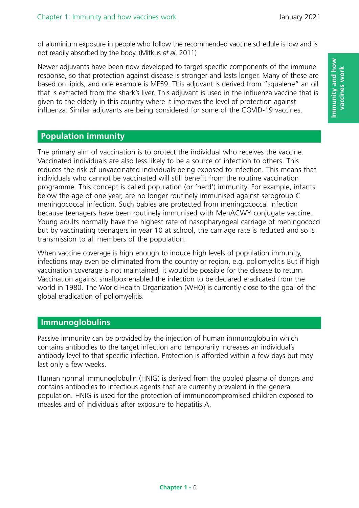of aluminium exposure in people who follow the recommended vaccine schedule is low and is not readily absorbed by the body. (Mitkus *et al*, 2011)

Newer adjuvants have been now developed to target specific components of the immune response, so that protection against disease is stronger and lasts longer. Many of these are based on lipids, and one example is MF59. This adjuvant is derived from "squalene" an oil that is extracted from the shark's liver. This adjuvant is used in the influenza vaccine that is given to the elderly in this country where it improves the level of protection against influenza. Similar adjuvants are being considered for some of the COVID-19 vaccines.

# **Population immunity**

The primary aim of vaccination is to protect the individual who receives the vaccine. Vaccinated individuals are also less likely to be a source of infection to others. This reduces the risk of unvaccinated individuals being exposed to infection. This means that individuals who cannot be vaccinated will still benefit from the routine vaccination programme. This concept is called population (or 'herd') immunity. For example, infants below the age of one year, are no longer routinely immunised against serogroup C meningococcal infection. Such babies are protected from meningococcal infection because teenagers have been routinely immunised with MenACWY conjugate vaccine. Young adults normally have the highest rate of nasopharyngeal carriage of meningococci but by vaccinating teenagers in year 10 at school, the carriage rate is reduced and so is transmission to all members of the population.

When vaccine coverage is high enough to induce high levels of population immunity, infections may even be eliminated from the country or region, e.g. poliomyelitis But if high vaccination coverage is not maintained, it would be possible for the disease to return. Vaccination against smallpox enabled the infection to be declared eradicated from the world in 1980. The World Health Organization (WHO) is currently close to the goal of the global eradication of poliomyelitis.

# **Immunoglobulins**

Passive immunity can be provided by the injection of human immunoglobulin which contains antibodies to the target infection and temporarily increases an individual's antibody level to that specific infection. Protection is afforded within a few days but may last only a few weeks.

Human normal immunoglobulin (HNIG) is derived from the pooled plasma of donors and contains antibodies to infectious agents that are currently prevalent in the general population. HNIG is used for the protection of immunocompromised children exposed to measles and of individuals after exposure to hepatitis A.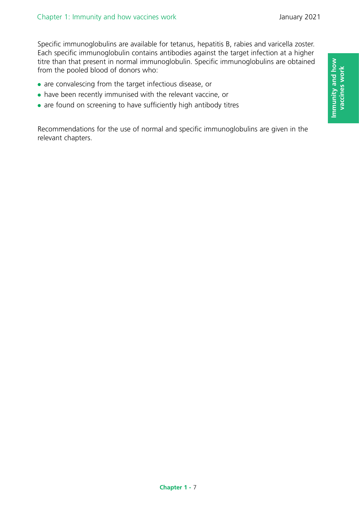Specific immunoglobulins are available for tetanus, hepatitis B, rabies and varicella zoster. Each specific immunoglobulin contains antibodies against the target infection at a higher titre than that present in normal immunoglobulin. Specific immunoglobulins are obtained from the pooled blood of donors who:

- are convalescing from the target infectious disease, or
- have been recently immunised with the relevant vaccine, or
- are found on screening to have sufficiently high antibody titres

Recommendations for the use of normal and specific immunoglobulins are given in the relevant chapters.